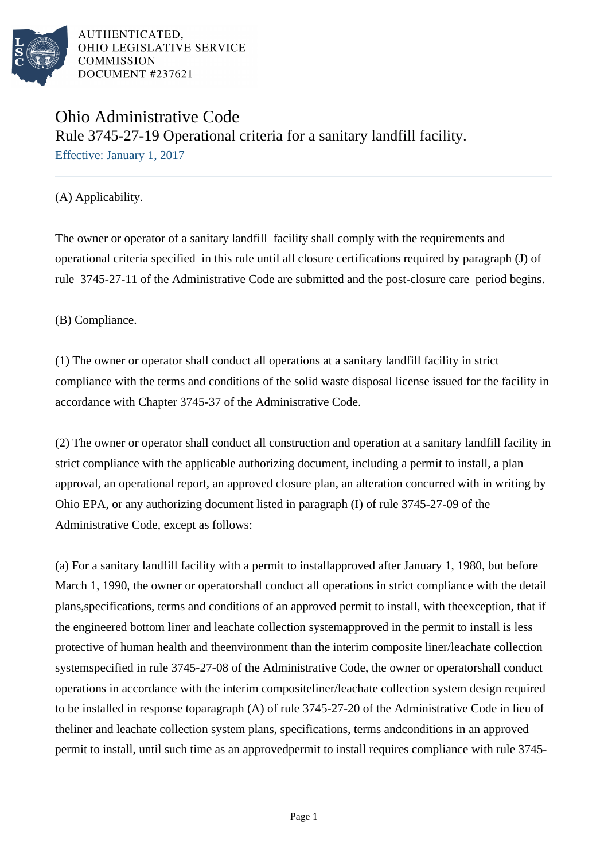

# Ohio Administrative Code Rule 3745-27-19 Operational criteria for a sanitary landfill facility. Effective: January 1, 2017

(A) Applicability.

The owner or operator of a sanitary landfill facility shall comply with the requirements and operational criteria specified in this rule until all closure certifications required by paragraph (J) of rule 3745-27-11 of the Administrative Code are submitted and the post-closure care period begins.

(B) Compliance.

(1) The owner or operator shall conduct all operations at a sanitary landfill facility in strict compliance with the terms and conditions of the solid waste disposal license issued for the facility in accordance with Chapter 3745-37 of the Administrative Code.

(2) The owner or operator shall conduct all construction and operation at a sanitary landfill facility in strict compliance with the applicable authorizing document, including a permit to install, a plan approval, an operational report, an approved closure plan, an alteration concurred with in writing by Ohio EPA, or any authorizing document listed in paragraph (I) of rule 3745-27-09 of the Administrative Code, except as follows:

(a) For a sanitary landfill facility with a permit to install approved after January 1, 1980, but before March 1, 1990, the owner or operator shall conduct all operations in strict compliance with the detail plans, specifications, terms and conditions of an approved permit to install, with the exception, that if the engineered bottom liner and leachate collection system approved in the permit to install is less protective of human health and the environment than the interim composite liner/leachate collection system specified in rule 3745-27-08 of the Administrative Code, the owner or operator shall conduct operations in accordance with the interim composite liner/leachate collection system design required to be installed in response to paragraph (A) of rule 3745-27-20 of the Administrative Code in lieu of the liner and leachate collection system plans, specifications, terms and conditions in an approved permit to install, until such time as an approved permit to install requires compliance with rule 3745-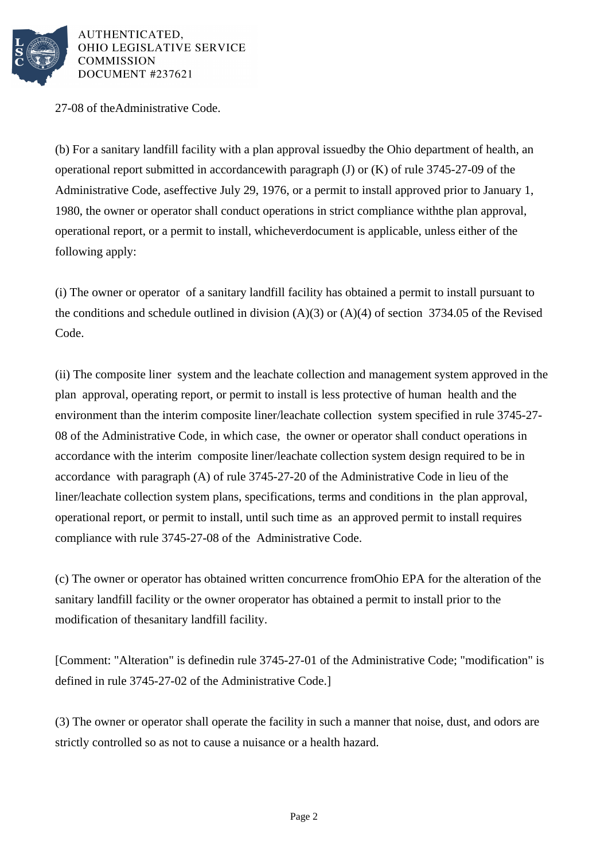

27-08 of the Administrative Code.

(b) For a sanitary landfill facility with a plan approval issued by the Ohio department of health, an operational report submitted in accordance with paragraph  $(J)$  or  $(K)$  of rule 3745-27-09 of the Administrative Code, as effective July 29, 1976, or a permit to install approved prior to January 1, 1980, the owner or operator shall conduct operations in strict compliance with the plan approval, operational report, or a permit to install, whichever document is applicable, unless either of the following apply:

(i) The owner or operator of a sanitary landfill facility has obtained a permit to install pursuant to the conditions and schedule outlined in division  $(A)(3)$  or  $(A)(4)$  of section 3734.05 of the Revised Code.

(ii) The composite liner system and the leachate collection and management system approved in the plan approval, operating report, or permit to install is less protective of human health and the environment than the interim composite liner/leachate collection system specified in rule 3745-27-08 of the Administrative Code, in which case, the owner or operator shall conduct operations in accordance with the interim composite liner/leachate collection system design required to be in accordance with paragraph  $(A)$  of rule 3745-27-20 of the Administrative Code in lieu of the liner/leachate collection system plans, specifications, terms and conditions in the plan approval, operational report, or permit to install, until such time as an approved permit to install requires compliance with rule 3745-27-08 of the Administrative Code.

(c) The owner or operator has obtained written concurrence from Ohio EPA for the alteration of the sanitary landfill facility or the owner or operator has obtained a permit to install prior to the modification of the sanitary landfill facility.

[Comment: "Alteration" is defined in rule 3745-27-01 of the Administrative Code; "modification" is defined in rule 3745-27-02 of the Administrative Code.]

(3) The owner or operator shall operate the facility in such a manner that noise, dust, and odors are strictly controlled so as not to cause a nuisance or a health hazard.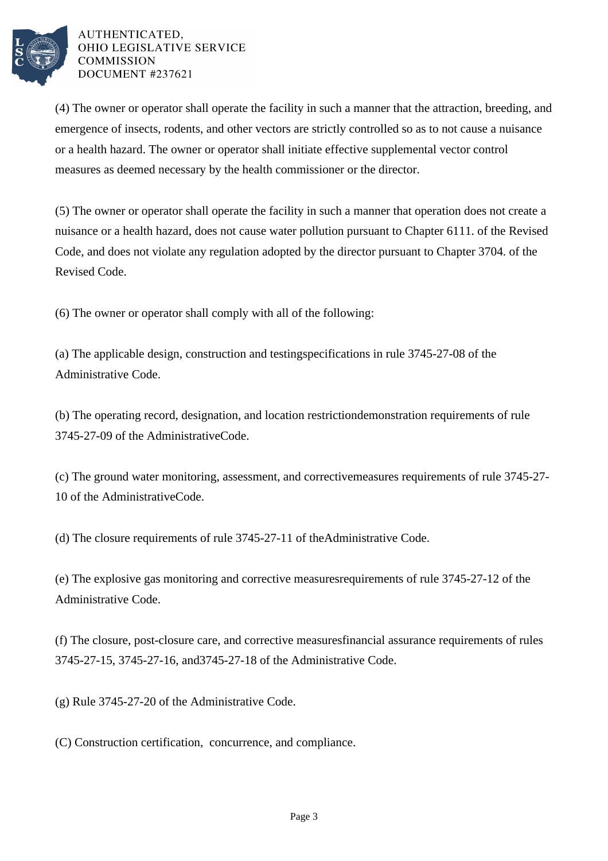

(4) The owner or operator shall operate the facility in such a manner that the attraction, breeding, and emergence of insects, rodents, and other vectors are strictly controlled so as to not cause a nuisance or a health hazard. The owner or operator shall initiate effective supplemental vector control measures as deemed necessary by the health commissioner or the director.

(5) The owner or operator shall operate the facility in such a manner that operation does not create a nuisance or a health hazard, does not cause water pollution pursuant to Chapter 6111. of the Revised Code, and does not violate any regulation adopted by the director pursuant to Chapter 3704. of the Revised Code.

 $(6)$  The owner or operator shall comply with all of the following:

(a) The applicable design, construction and testing specifications in rule 3745-27-08 of the Administrative Code.

(b) The operating record, designation, and location restriction demonstration requirements of rule 3745-27-09 of the Administrative Code.

(c) The ground water monitoring, assessment, and corrective measures requirements of rule 3745-27- 10 of the Administrative Code.

(d) The closure requirements of rule 3745-27-11 of the Administrative Code.

(e) The explosive gas monitoring and corrective measures requirements of rule  $3745-27-12$  of the Administrative Code.

(f) The closure, post-closure care, and corrective measures financial assurance requirements of rules 3745-27-15, 3745-27-16, and 3745-27-18 of the Administrative Code.

(g) Rule 3745-27-20 of the Administrative Code.

(C) Construction certification, concurrence, and compliance.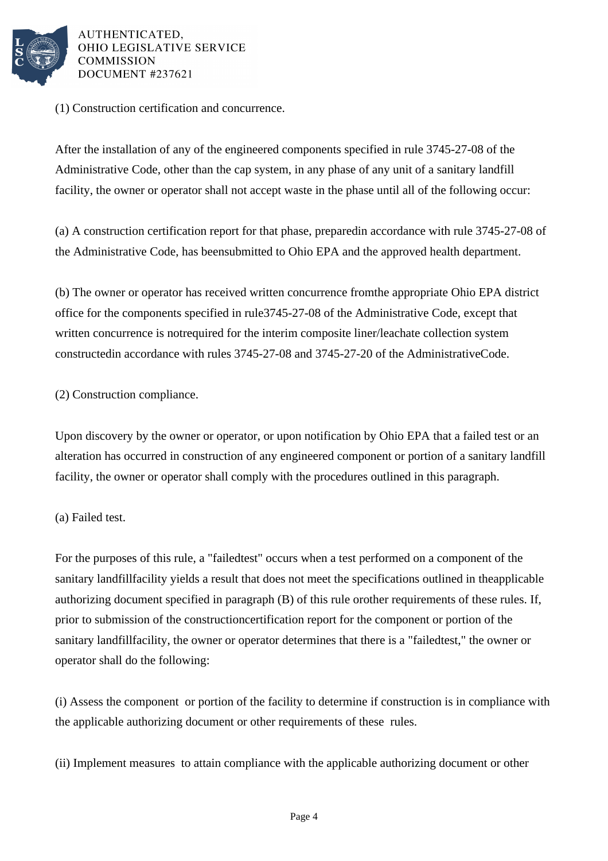

(1) Construction certification and concurrence.

After the installation of any of the engineered components specified in rule 3745-27-08 of the Administrative Code, other than the cap system, in any phase of any unit of a sanitary landfill facility, the owner or operator shall not accept waste in the phase until all of the following occur:

(a) A construction certification report for that phase, prepared in accordance with rule 3745-27-08 of the Administrative Code, has been submitted to Ohio EPA and the approved health department.

(b) The owner or operator has received written concurrence from the appropriate Ohio EPA district office for the components specified in rule 3745-27-08 of the Administrative Code, except that written concurrence is not required for the interim composite liner/leachate collection system constructed in accordance with rules  $3745-27-08$  and  $3745-27-20$  of the Administrative Code.

(2) Construction compliance.

Upon discovery by the owner or operator, or upon notification by Ohio EPA that a failed test or an alteration has occurred in construction of any engineered component or portion of a sanitary landfill facility, the owner or operator shall comply with the procedures outlined in this paragraph.

(a) Failed test.

For the purposes of this rule, a "failed test" occurs when a test performed on a component of the sanitary landfill facility yields a result that does not meet the specifications outlined in the applicable authorizing document specified in paragraph (B) of this rule or other requirements of these rules. If, prior to submission of the construction certification report for the component or portion of the sanitary landfill facility, the owner or operator determines that there is a "failed test," the owner or operator shall do the following:

(i) Assess the component or portion of the facility to determine if construction is in compliance with the applicable authorizing document or other requirements of these rules.

(ii) Implement measures to attain compliance with the applicable authorizing document or other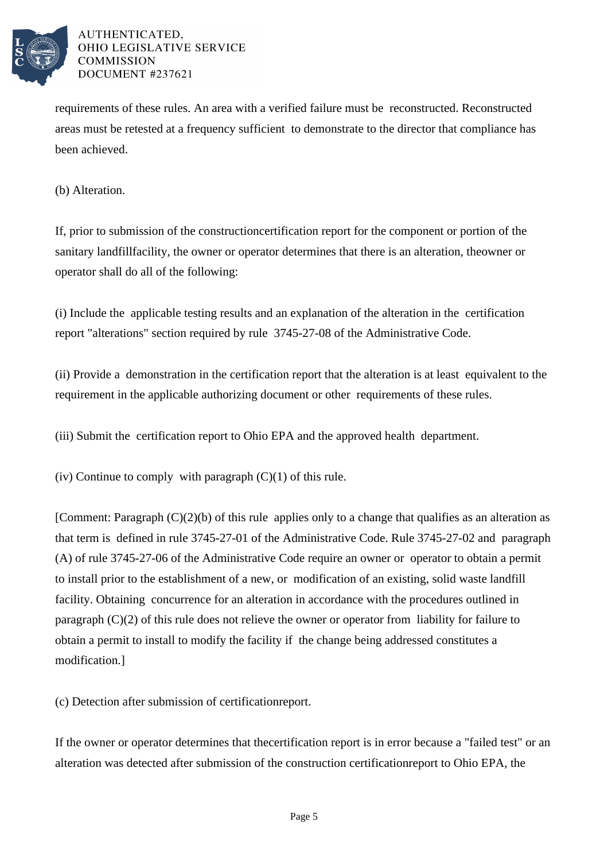

requirements of these rules. An area with a verified failure must be reconstructed. Reconstructed areas must be retested at a frequency sufficient to demonstrate to the director that compliance has been achieved.

# (b) Alteration.

If, prior to submission of the construction certification report for the component or portion of the sanitary landfill facility, the owner or operator determines that there is an alteration, the owner or operator shall do all of the following:

(i) Include the applicable testing results and an explanation of the alteration in the certification report "alterations" section required by rule 3745-27-08 of the Administrative Code.

(ii) Provide a demonstration in the certification report that the alteration is at least equivalent to the requirement in the applicable authorizing document or other requirements of these rules.

(iii) Submit the certification report to Ohio EPA and the approved health department.

(iv) Continue to comply with paragraph  $(C)(1)$  of this rule.

[Comment: Paragraph  $(C)(2)(b)$  of this rule applies only to a change that qualifies as an alteration as that term is defined in rule 3745-27-01 of the Administrative Code. Rule 3745-27-02 and paragraph (A) of rule 3745-27-06 of the Administrative Code require an owner or operator to obtain a permit to install prior to the establishment of a new, or modification of an existing, solid waste landfill facility. Obtaining concurrence for an alteration in accordance with the procedures outlined in paragraph  $(C)(2)$  of this rule does not relieve the owner or operator from liability for failure to obtain a permit to install to modify the facility if the change being addressed constitutes a modification.]

(c) Detection after submission of certification report.

If the owner or operator determines that the certification report is in error because a "failed test" or an alteration was detected after submission of the construction certification report to Ohio EPA, the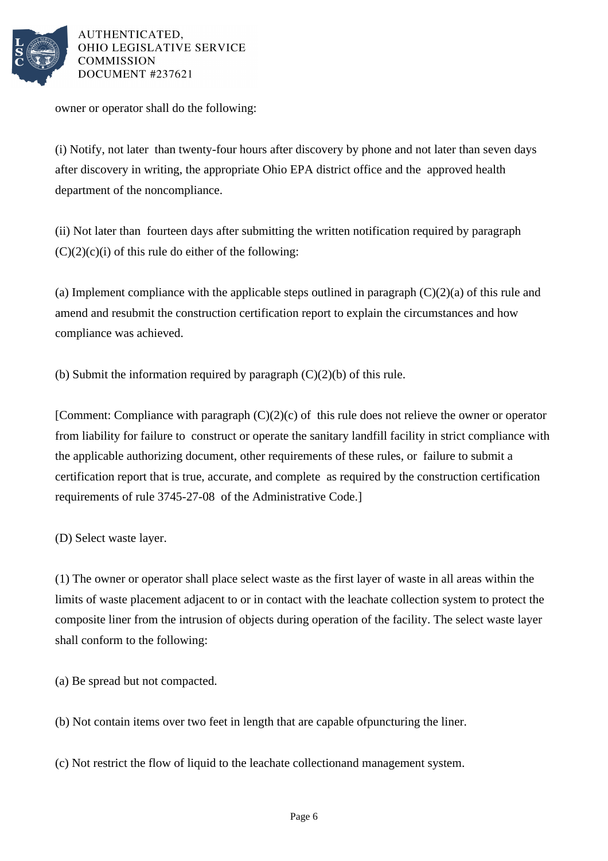

owner or operator shall do the following:

(i) Notify, not later than twenty-four hours after discovery by phone and not later than seven days after discovery in writing, the appropriate Ohio EPA district office and the approved health department of the noncompliance.

(ii) Not later than fourteen days after submitting the written notification required by paragraph  $(C)(2)(c)(i)$  of this rule do either of the following:

(a) Implement compliance with the applicable steps outlined in paragraph  $(C)(2)(a)$  of this rule and amend and resubmit the construction certification report to explain the circumstances and how compliance was achieved.

(b) Submit the information required by paragraph  $(C)(2)(b)$  of this rule.

[Comment: Compliance with paragraph (C)(2)(c) of this rule does not relieve the owner or operator from liability for failure to construct or operate the sanitary landfill facility in strict compliance with the applicable authorizing document, other requirements of these rules, or failure to submit a certification report that is true, accurate, and complete as required by the construction certification requirements of rule 3745-27-08 of the Administrative Code.]

(D) Select waste layer.

(1) The owner or operator shall place select waste as the first layer of waste in all areas within the limits of waste placement adjacent to or in contact with the leachate collection system to protect the composite liner from the intrusion of objects during operation of the facility. The select waste layer shall conform to the following:

(a) Be spread but not compacted.

(b) Not contain items over two feet in length that are capable of puncturing the liner.

(c) Not restrict the flow of liquid to the leachate collection and management system.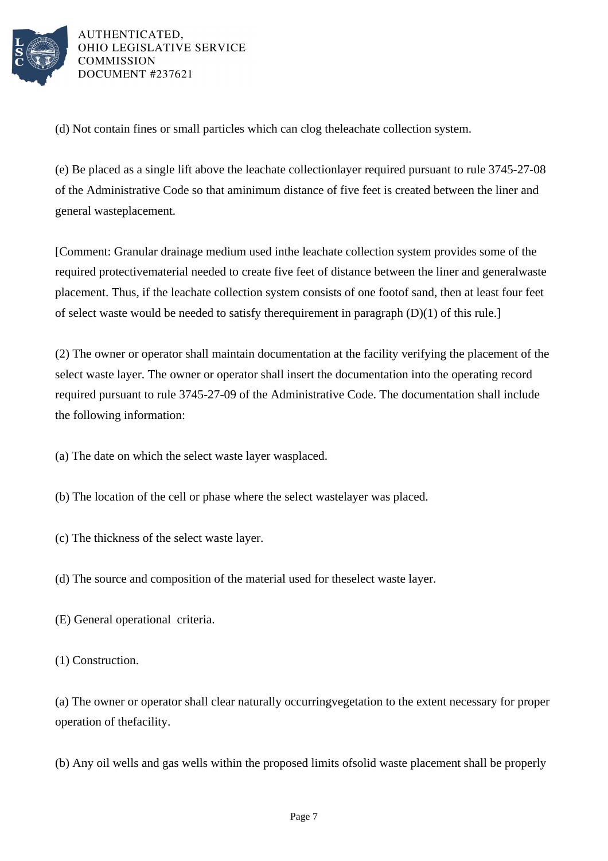

(d) Not contain fines or small particles which can clog the leachate collection system.

(e) Be placed as a single lift above the leachate collection layer required pursuant to rule 3745-27-08 of the Administrative Code so that a minimum distance of five feet is created between the liner and general waste placement.

[Comment: Granular drainage medium used in the leachate collection system provides some of the required protective material needed to create five feet of distance between the liner and general waste placement. Thus, if the leachate collection system consists of one foot of sand, then at least four feet of select waste would be needed to satisfy the requirement in paragraph  $(D)(1)$  of this rule.]

(2) The owner or operator shall maintain documentation at the facility verifying the placement of the select waste layer. The owner or operator shall insert the documentation into the operating record required pursuant to rule 3745-27-09 of the Administrative Code. The documentation shall include the following information:

(a) The date on which the select waste layer was placed.

- (b) The location of the cell or phase where the select waste layer was placed.
- (c) The thickness of the select waste layer.

(d) The source and composition of the material used for the select waste layer.

- (E) General operational criteria.
- (1) Construction.

(a) The owner or operator shall clear naturally occurring vegetation to the extent necessary for proper operation of the facility.

(b) Any oil wells and gas wells within the proposed limits of solid waste placement shall be properly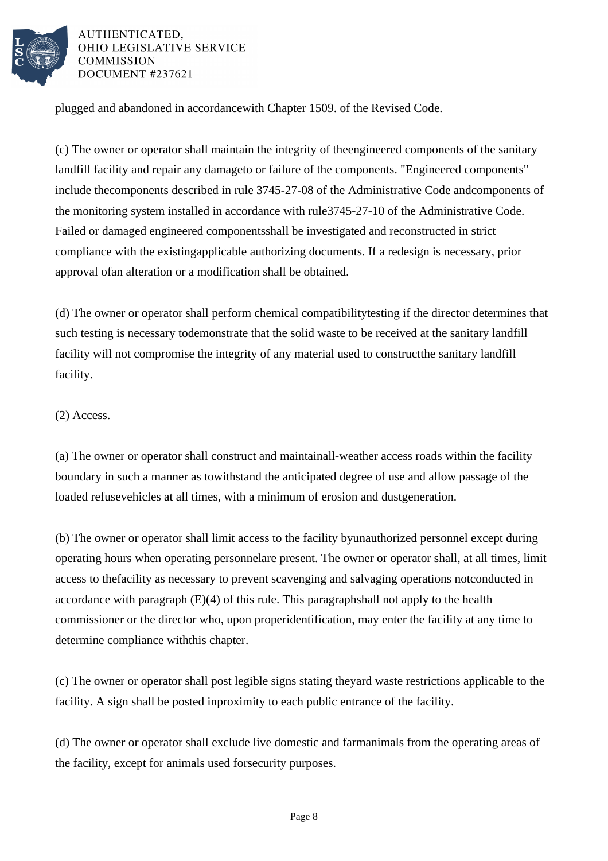

plugged and abandoned in accordance with Chapter 1509. of the Revised Code.

(c) The owner or operator shall maintain the integrity of the engineered components of the sanitary landfill facility and repair any damage to or failure of the components. "Engineered components" include the components described in rule 3745-27-08 of the Administrative Code and components of the monitoring system installed in accordance with rule  $3745-27-10$  of the Administrative Code. Failed or damaged engineered components shall be investigated and reconstructed in strict compliance with the existing applicable authorizing documents. If a redesign is necessary, prior approval of an alteration or a modification shall be obtained.

(d) The owner or operator shall perform chemical compatibility testing if the director determines that such testing is necessary to demonstrate that the solid waste to be received at the sanitary landfill facility will not compromise the integrity of any material used to construct the sanitary landfill facility.

(2) Access.

(a) The owner or operator shall construct and maintain all-weather access roads within the facility boundary in such a manner as to withstand the anticipated degree of use and allow passage of the loaded refuse vehicles at all times, with a minimum of erosion and dust generation.

(b) The owner or operator shall limit access to the facility by unauthorized personnel except during operating hours when operating personnel are present. The owner or operator shall, at all times, limit access to the facility as necessary to prevent scavenging and salvaging operations not conducted in accordance with paragraph  $(E)(4)$  of this rule. This paragraph shall not apply to the health commissioner or the director who, upon proper identification, may enter the facility at any time to determine compliance with this chapter.

(c) The owner or operator shall post legible signs stating the yard waste restrictions applicable to the facility. A sign shall be posted in proximity to each public entrance of the facility.

(d) The owner or operator shall exclude live domestic and farm animals from the operating areas of the facility, except for animals used for security purposes.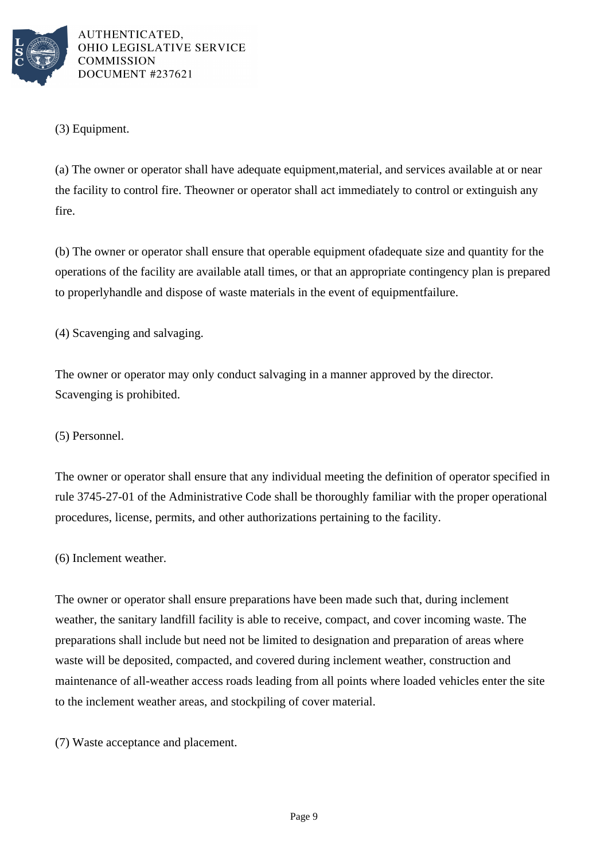

(3) Equipment.

(a) The owner or operator shall have adequate equipment, material, and services available at or near the facility to control fire. The owner or operator shall act immediately to control or extinguish any fire.

(b) The owner or operator shall ensure that operable equipment of adequate size and quantity for the operations of the facility are available at all times, or that an appropriate contingency plan is prepared to properly handle and dispose of waste materials in the event of equipment failure.

(4) Scavenging and salvaging.

The owner or operator may only conduct salvaging in a manner approved by the director. Scavenging is prohibited.

(5) Personnel.

The owner or operator shall ensure that any individual meeting the definition of operator specified in rule 3745-27-01 of the Administrative Code shall be thoroughly familiar with the proper operational procedures, license, permits, and other authorizations pertaining to the facility.

(6) Inclement weather.

The owner or operator shall ensure preparations have been made such that, during inclement weather, the sanitary landfill facility is able to receive, compact, and cover incoming waste. The preparations shall include but need not be limited to designation and preparation of areas where waste will be deposited, compacted, and covered during inclement weather, construction and maintenance of all-weather access roads leading from all points where loaded vehicles enter the site to the inclement weather areas, and stockpiling of cover material.

(7) Waste acceptance and placement.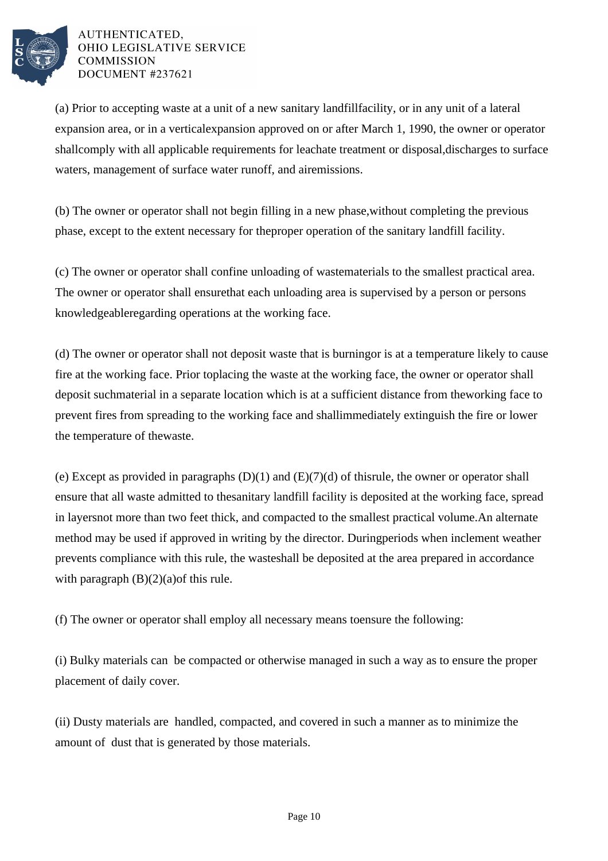

(a) Prior to accepting waste at a unit of a new sanitary landfill facility, or in any unit of a lateral expansion area, or in a vertical expansion approved on or after March 1, 1990, the owner or operator shall comply with all applicable requirements for leachate treatment or disposal, discharges to surface waters, management of surface water runoff, and air emissions.

(b) The owner or operator shall not begin filling in a new phase, without completing the previous phase, except to the extent necessary for the proper operation of the sanitary landfill facility.

(c) The owner or operator shall confine unloading of waste materials to the smallest practical area. The owner or operator shall ensure that each unloading area is supervised by a person or persons knowledgeable regarding operations at the working face.

(d) The owner or operator shall not deposit waste that is burning or is at a temperature likely to cause fire at the working face. Prior to placing the waste at the working face, the owner or operator shall deposit such material in a separate location which is at a sufficient distance from the working face to prevent fires from spreading to the working face and shall immediately extinguish the fire or lower the temperature of the waste.

(e) Except as provided in paragraphs  $(D)(1)$  and  $(E)(7)(d)$  of this rule, the owner or operator shall ensure that all waste admitted to the sanitary landfill facility is deposited at the working face, spread in layers not more than two feet thick, and compacted to the smallest practical volume. An alternate method may be used if approved in writing by the director. During periods when inclement weather prevents compliance with this rule, the waste shall be deposited at the area prepared in accordance with paragraph  $(B)(2)(a)$  of this rule.

(f) The owner or operator shall employ all necessary means to ensure the following:

(i) Bulky materials can be compacted or otherwise managed in such a way as to ensure the proper placement of daily cover.

(ii) Dusty materials are handled, compacted, and covered in such a manner as to minimize the amount of dust that is generated by those materials.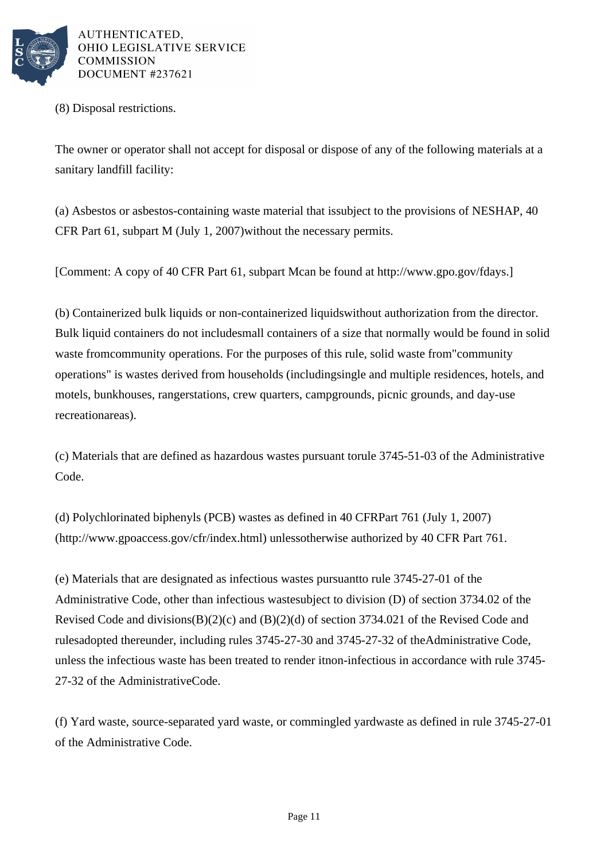

(8) Disposal restrictions.

The owner or operator shall not accept for disposal or dispose of any of the following materials at a sanitary landfill facility:

(a) Asbestos or asbestos-containing waste material that is subject to the provisions of NESHAP, 40 CFR Part 61, subpart M (July 1, 2007) without the necessary permits.

[Comment: A copy of 40 CFR Part 61, subpart M can be found at http://www.gpo.gov/fdays.]

(b) Containerized bulk liquids or non-containerized liquids without authorization from the director. Bulk liquid containers do not include small containers of a size that normally would be found in solid waste from community operations. For the purposes of this rule, solid waste from "community" operations" is wastes derived from households (including single and multiple residences, hotels, and motels, bunkhouses, ranger stations, crew quarters, campgrounds, picnic grounds, and day-use recreation areas).

(c) Materials that are defined as hazardous wastes pursuant to rule 3745-51-03 of the Administrative Code.

(d) Polychlorinated biphenyls (PCB) wastes as defined in 40 CFR Part 761 (July 1, 2007) (http://www.gpoaccess.gov/cfr/index.html) unless otherwise authorized by 40 CFR Part 761.

(e) Materials that are designated as infectious wastes pursuant to rule  $3745-27-01$  of the Administrative Code, other than infectious waste subject to division (D) of section 3734.02 of the Revised Code and divisions  $(B)(2)(c)$  and  $(B)(2)(d)$  of section 3734.021 of the Revised Code and rules adopted thereunder, including rules 3745-27-30 and 3745-27-32 of the Administrative Code, unless the infectious waste has been treated to render it non-infectious in accordance with rule 3745-27-32 of the Administrative Code.

(f) Yard waste, source-separated yard waste, or commingled yard waste as defined in rule 3745-27-01 of the Administrative Code.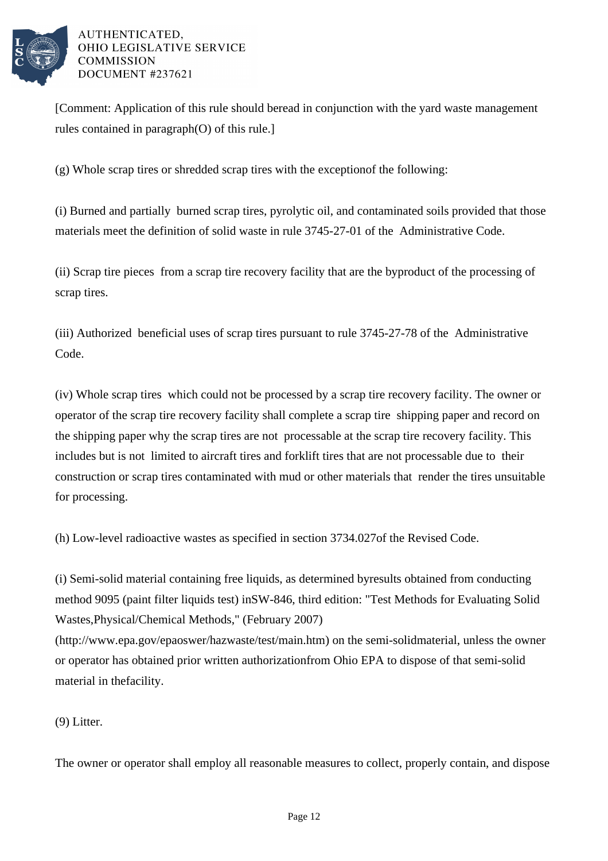

[Comment: Application of this rule should be read in conjunction with the yard waste management rules contained in paragraph (O) of this rule.]

(g) Whole scrap tires or shredded scrap tires with the exception of the following:

(i) Burned and partially burned scrap tires, pyrolytic oil, and contaminated soils provided that those materials meet the definition of solid waste in rule 3745-27-01 of the Administrative Code.

(ii) Scrap tire pieces from a scrap tire recovery facility that are the byproduct of the processing of scrap tires.

(iii) Authorized beneficial uses of scrap tires pursuant to rule 3745-27-78 of the Administrative Code.

(iv) Whole scrap tires which could not be processed by a scrap tire recovery facility. The owner or operator of the scrap tire recovery facility shall complete a scrap tire shipping paper and record on the shipping paper why the scrap tires are not processable at the scrap tire recovery facility. This includes but is not limited to aircraft tires and forklift tires that are not processable due to their construction or scrap tires contaminated with mud or other materials that render the tires unsuitable for processing.

(h) Low-level radioactive wastes as specified in section 3734.027 of the Revised Code.

(i) Semi-solid material containing free liquids, as determined by results obtained from conducting method 9095 (paint filter liquids test) in SW-846, third edition: "Test Methods for Evaluating Solid Wastes, Physical/Chemical Methods," (February 2007)

(http://www.epa.gov/epaoswer/hazwaste/test/main.htm) on the semi-solid material, unless the owner or operator has obtained prior written authorization from Ohio EPA to dispose of that semi-solid material in the facility.

(9) Litter.

The owner or operator shall employ all reasonable measures to collect, properly contain, and dispose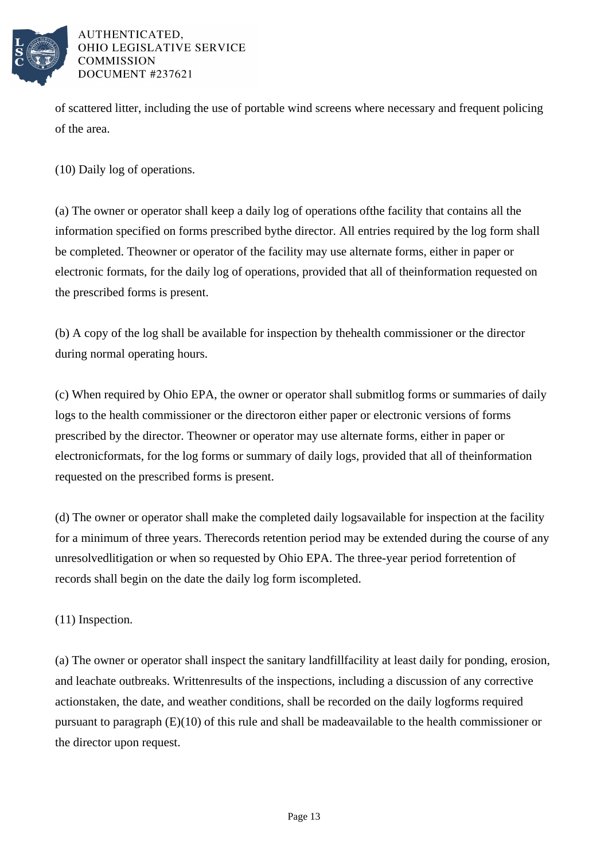

of scattered litter, including the use of portable wind screens where necessary and frequent policing of the area.

(10) Daily log of operations.

(a) The owner or operator shall keep a daily log of operations of the facility that contains all the information specified on forms prescribed by the director. All entries required by the log form shall be completed. The owner or operator of the facility may use alternate forms, either in paper or electronic formats, for the daily log of operations, provided that all of the information requested on the prescribed forms is present.

(b) A copy of the log shall be available for inspection by the health commissioner or the director during normal operating hours.

(c) When required by Ohio EPA, the owner or operator shall submit log forms or summaries of daily logs to the health commissioner or the director on either paper or electronic versions of forms prescribed by the director. The owner or operator may use alternate forms, either in paper or electronic formats, for the log forms or summary of daily logs, provided that all of the information requested on the prescribed forms is present.

(d) The owner or operator shall make the completed daily logs available for inspection at the facility for a minimum of three years. The records retention period may be extended during the course of any unresolved litigation or when so requested by Ohio EPA. The three-year period for retention of records shall begin on the date the daily log form is completed.

(11) Inspection.

(a) The owner or operator shall inspect the sanitary landfill facility at least daily for ponding, erosion, and leachate outbreaks. Written results of the inspections, including a discussion of any corrective actions taken, the date, and weather conditions, shall be recorded on the daily log forms required pursuant to paragraph  $(E)(10)$  of this rule and shall be made available to the health commissioner or the director upon request.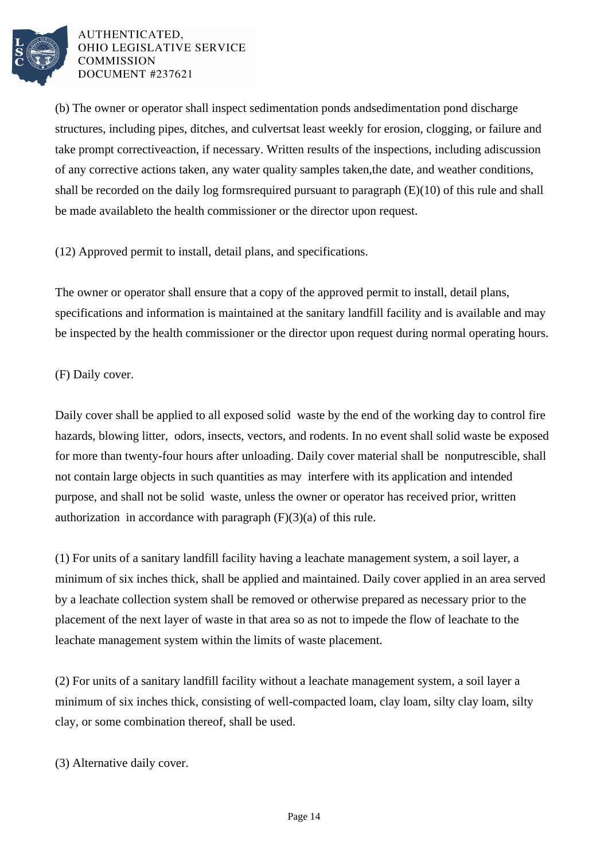

(b) The owner or operator shall inspect sedimentation ponds and sedimentation pond discharge structures, including pipes, ditches, and culverts at least weekly for erosion, clogging, or failure and take prompt corrective action, if necessary. Written results of the inspections, including a discussion of any corrective actions taken, any water quality samples taken, the date, and weather conditions, shall be recorded on the daily log forms required pursuant to paragraph  $(E)(10)$  of this rule and shall be made available to the health commissioner or the director upon request.

(12) Approved permit to install, detail plans, and specifications.

The owner or operator shall ensure that a copy of the approved permit to install, detail plans, specifications and information is maintained at the sanitary landfill facility and is available and may be inspected by the health commissioner or the director upon request during normal operating hours.

(F) Daily cover.

Daily cover shall be applied to all exposed solid waste by the end of the working day to control fire hazards, blowing litter, odors, insects, vectors, and rodents. In no event shall solid waste be exposed for more than twenty-four hours after unloading. Daily cover material shall be nonputrescible, shall not contain large objects in such quantities as may interfere with its application and intended purpose, and shall not be solid waste, unless the owner or operator has received prior, written authorization in accordance with paragraph  $(F)(3)(a)$  of this rule.

(1) For units of a sanitary landfill facility having a leachate management system, a soil layer, a minimum of six inches thick, shall be applied and maintained. Daily cover applied in an area served by a leachate collection system shall be removed or otherwise prepared as necessary prior to the placement of the next layer of waste in that area so as not to impede the flow of leachate to the leachate management system within the limits of waste placement.

(2) For units of a sanitary landfill facility without a leachate management system, a soil layer a minimum of six inches thick, consisting of well-compacted loam, clay loam, silty clay loam, silty clay, or some combination thereof, shall be used.

(3) Alternative daily cover.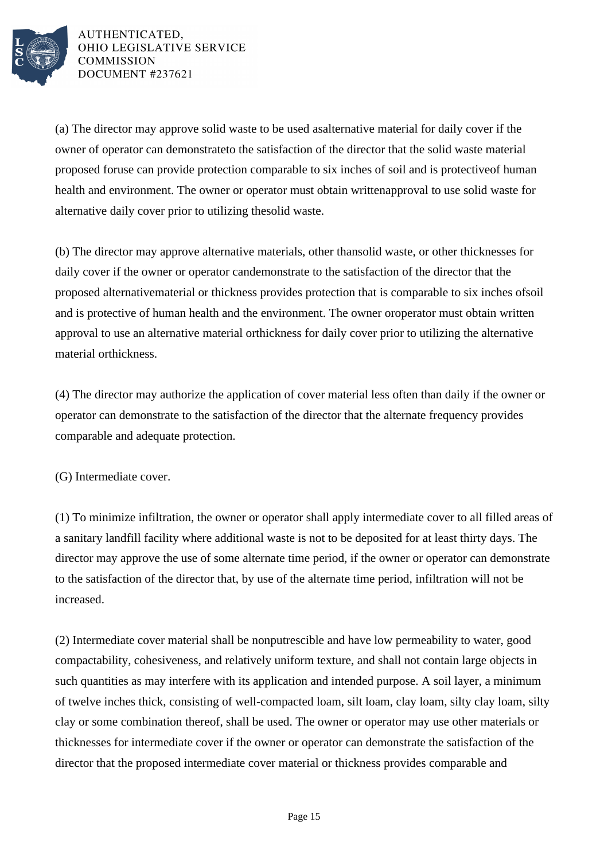

(a) The director may approve solid waste to be used as alternative material for daily cover if the owner of operator can demonstrate to the satisfaction of the director that the solid waste material proposed for use can provide protection comparable to six inches of soil and is protective of human health and environment. The owner or operator must obtain written approval to use solid waste for alternative daily cover prior to utilizing the solid waste.

(b) The director may approve alternative materials, other than solid waste, or other thicknesses for daily cover if the owner or operator can demonstrate to the satisfaction of the director that the proposed alternative material or thickness provides protection that is comparable to six inches of soil and is protective of human health and the environment. The owner or operator must obtain written approval to use an alternative material or thickness for daily cover prior to utilizing the alternative material or thickness.

(4) The director may authorize the application of cover material less often than daily if the owner or operator can demonstrate to the satisfaction of the director that the alternate frequency provides comparable and adequate protection.

(G) Intermediate cover.

(1) To minimize infiltration, the owner or operator shall apply intermediate cover to all filled areas of a sanitary landfill facility where additional waste is not to be deposited for at least thirty days. The director may approve the use of some alternate time period, if the owner or operator can demonstrate to the satisfaction of the director that, by use of the alternate time period, infiltration will not be increased.

(2) Intermediate cover material shall be nonputrescible and have low permeability to water, good compactability, cohesiveness, and relatively uniform texture, and shall not contain large objects in such quantities as may interfere with its application and intended purpose. A soil layer, a minimum of twelve inches thick, consisting of well-compacted loam, silt loam, clay loam, silty clay loam, silty clay or some combination thereof, shall be used. The owner or operator may use other materials or thicknesses for intermediate cover if the owner or operator can demonstrate the satisfaction of the director that the proposed intermediate cover material or thickness provides comparable and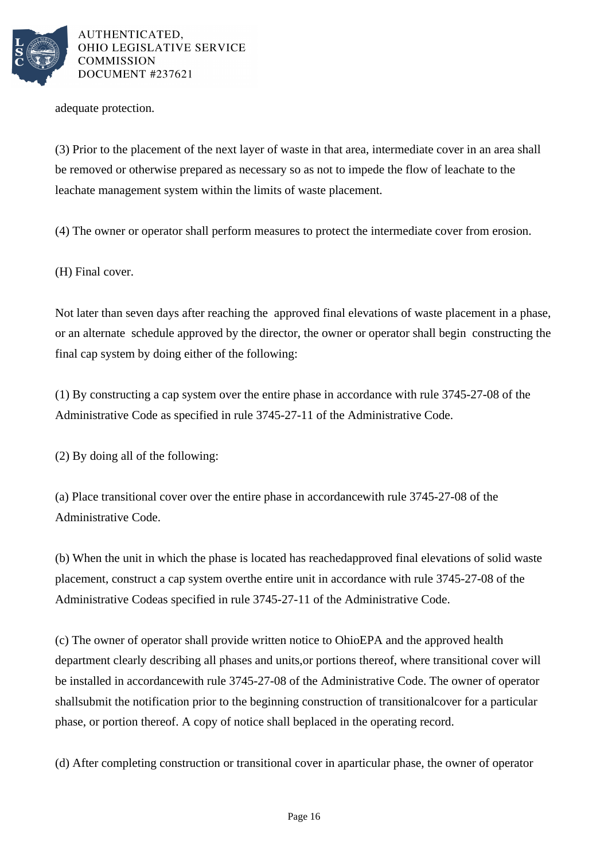

adequate protection.

(3) Prior to the placement of the next layer of waste in that area, intermediate cover in an area shall be removed or otherwise prepared as necessary so as not to impede the flow of leachate to the leachate management system within the limits of waste placement.

(4) The owner or operator shall perform measures to protect the intermediate cover from erosion.

(H) Final cover.

Not later than seven days after reaching the approved final elevations of waste placement in a phase, or an alternate schedule approved by the director, the owner or operator shall begin constructing the final cap system by doing either of the following:

(1) By constructing a cap system over the entire phase in accordance with rule 3745-27-08 of the Administrative Code as specified in rule 3745-27-11 of the Administrative Code.

 $(2)$  By doing all of the following:

(a) Place transitional cover over the entire phase in accordance with rule 3745-27-08 of the Administrative Code.

(b) When the unit in which the phase is located has reached approved final elevations of solid waste placement, construct a cap system over the entire unit in accordance with rule 3745-27-08 of the Administrative Code as specified in rule 3745-27-11 of the Administrative Code.

(c) The owner of operator shall provide written notice to Ohio EPA and the approved health department clearly describing all phases and units, or portions thereof, where transitional cover will be installed in accordance with rule 3745-27-08 of the Administrative Code. The owner of operator shall submit the notification prior to the beginning construction of transitional cover for a particular phase, or portion thereof. A copy of notice shall be placed in the operating record.

(d) After completing construction or transitional cover in a particular phase, the owner of operator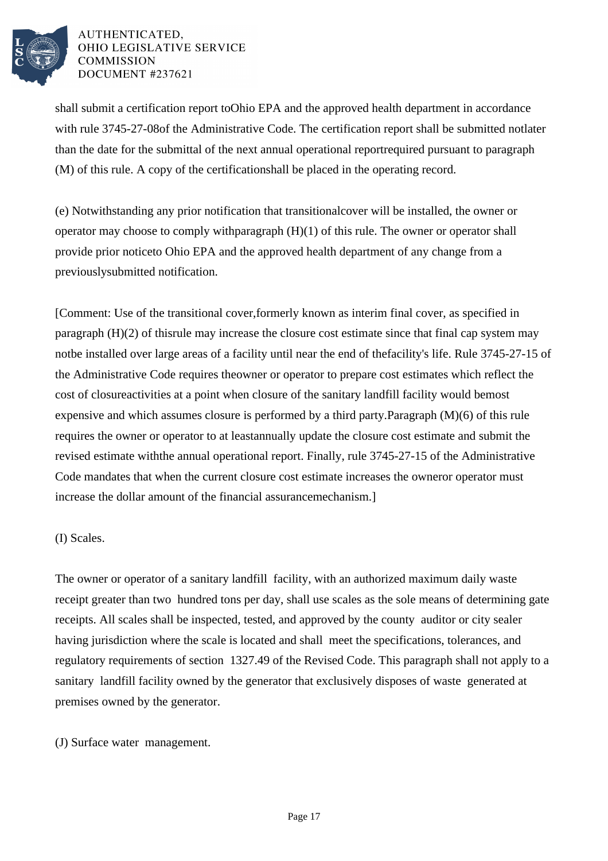

shall submit a certification report to Ohio EPA and the approved health department in accordance with rule 3745-27-08 of the Administrative Code. The certification report shall be submitted not later than the date for the submittal of the next annual operational report required pursuant to paragraph (M) of this rule. A copy of the certification shall be placed in the operating record.

(e) Notwithstanding any prior notification that transitional cover will be installed, the owner or operator may choose to comply with paragraph  $(H)(1)$  of this rule. The owner or operator shall provide prior notice to Ohio EPA and the approved health department of any change from a previously submitted notification.

[Comment: Use of the transitional cover, formerly known as interim final cover, as specified in paragraph  $(H)(2)$  of this rule may increase the closure cost estimate since that final cap system may not be installed over large areas of a facility until near the end of the facility's life. Rule 3745-27-15 of the Administrative Code requires the owner or operator to prepare cost estimates which reflect the cost of closure activities at a point when closure of the sanitary landfill facility would be most expensive and which assumes closure is performed by a third party. Paragraph  $(M)(6)$  of this rule requires the owner or operator to at least annually update the closure cost estimate and submit the revised estimate with the annual operational report. Finally, rule 3745-27-15 of the Administrative Code mandates that when the current closure cost estimate increases the owner or operator must increase the dollar amount of the financial assurance mechanism.]

# (I) Scales.

The owner or operator of a sanitary landfill facility, with an authorized maximum daily waste receipt greater than two hundred tons per day, shall use scales as the sole means of determining gate receipts. All scales shall be inspected, tested, and approved by the county auditor or city sealer having jurisdiction where the scale is located and shall meet the specifications, tolerances, and regulatory requirements of section 1327.49 of the Revised Code. This paragraph shall not apply to a sanitary landfill facility owned by the generator that exclusively disposes of waste generated at premises owned by the generator.

(J) Surface water management.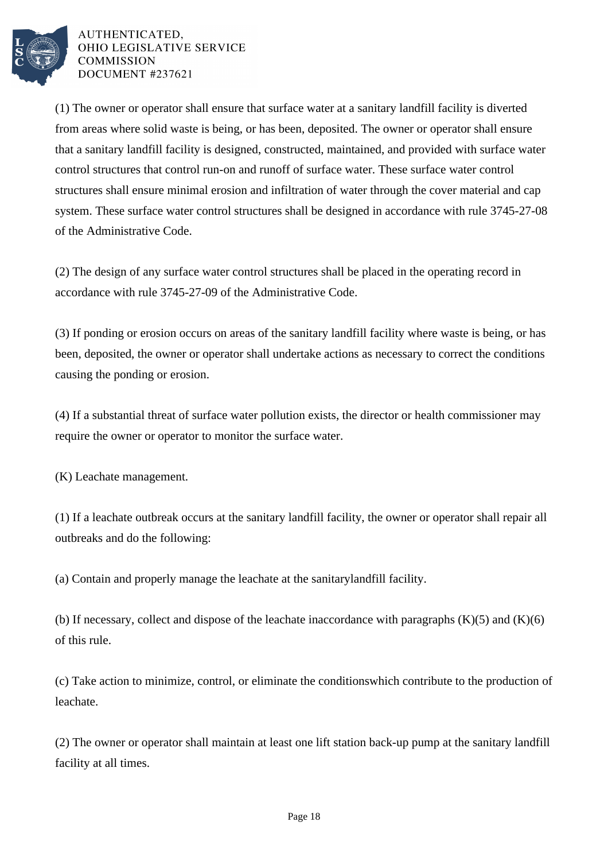

(1) The owner or operator shall ensure that surface water at a sanitary landfill facility is diverted from areas where solid waste is being, or has been, deposited. The owner or operator shall ensure that a sanitary landfill facility is designed, constructed, maintained, and provided with surface water control structures that control run-on and runoff of surface water. These surface water control structures shall ensure minimal erosion and infiltration of water through the cover material and cap system. These surface water control structures shall be designed in accordance with rule 3745-27-08 of the Administrative Code.

(2) The design of any surface water control structures shall be placed in the operating record in accordance with rule 3745-27-09 of the Administrative Code.

(3) If ponding or erosion occurs on areas of the sanitary landfill facility where waste is being, or has been, deposited, the owner or operator shall undertake actions as necessary to correct the conditions causing the ponding or erosion.

(4) If a substantial threat of surface water pollution exists, the director or health commissioner may require the owner or operator to monitor the surface water.

(K) Leachate management.

(1) If a leachate outbreak occurs at the sanitary landfill facility, the owner or operator shall repair all outbreaks and do the following:

(a) Contain and properly manage the leachate at the sanitary landfill facility.

(b) If necessary, collect and dispose of the leachate in accordance with paragraphs  $(K)(5)$  and  $(K)(6)$ of this rule.

(c) Take action to minimize, control, or eliminate the conditions which contribute to the production of leachate.

(2) The owner or operator shall maintain at least one lift station back-up pump at the sanitary landfill facility at all times.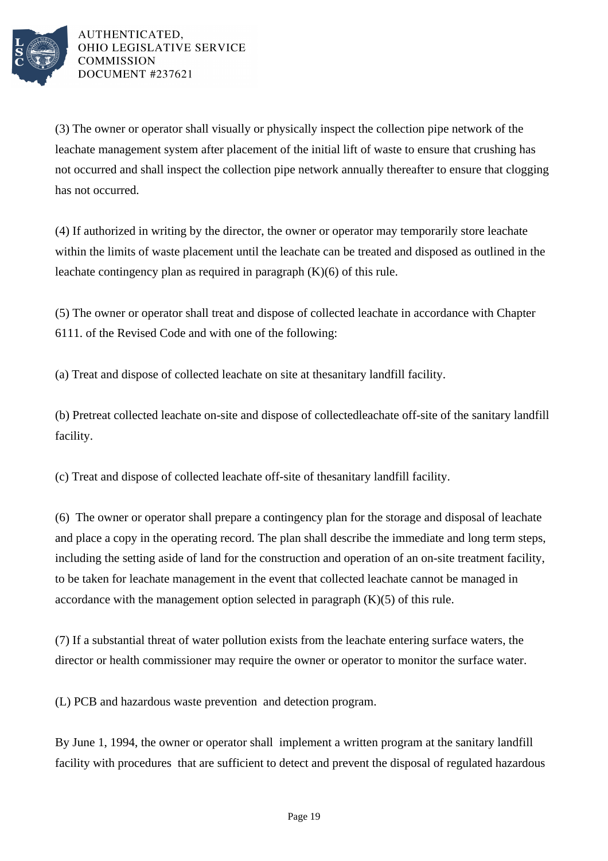

(3) The owner or operator shall visually or physically inspect the collection pipe network of the leachate management system after placement of the initial lift of waste to ensure that crushing has not occurred and shall inspect the collection pipe network annually thereafter to ensure that clogging has not occurred.

(4) If authorized in writing by the director, the owner or operator may temporarily store leachate within the limits of waste placement until the leachate can be treated and disposed as outlined in the leachate contingency plan as required in paragraph  $(K)(6)$  of this rule.

(5) The owner or operator shall treat and dispose of collected leachate in accordance with Chapter 6111. of the Revised Code and with one of the following:

(a) Treat and dispose of collected leachate on site at the sanitary landfill facility.

(b) Pretreat collected leachate on-site and dispose of collected leachate off-site of the sanitary landfill facility.

(c) Treat and dispose of collected leachate off-site of the sanitary landfill facility.

(6) The owner or operator shall prepare a contingency plan for the storage and disposal of leachate and place a copy in the operating record. The plan shall describe the immediate and long term steps, including the setting aside of land for the construction and operation of an on-site treatment facility, to be taken for leachate management in the event that collected leachate cannot be managed in accordance with the management option selected in paragraph  $(K)(5)$  of this rule.

(7) If a substantial threat of water pollution exists from the leachate entering surface waters, the director or health commissioner may require the owner or operator to monitor the surface water.

(L) PCB and hazardous waste prevention and detection program.

By June 1, 1994, the owner or operator shall implement a written program at the sanitary landfill facility with procedures that are sufficient to detect and prevent the disposal of regulated hazardous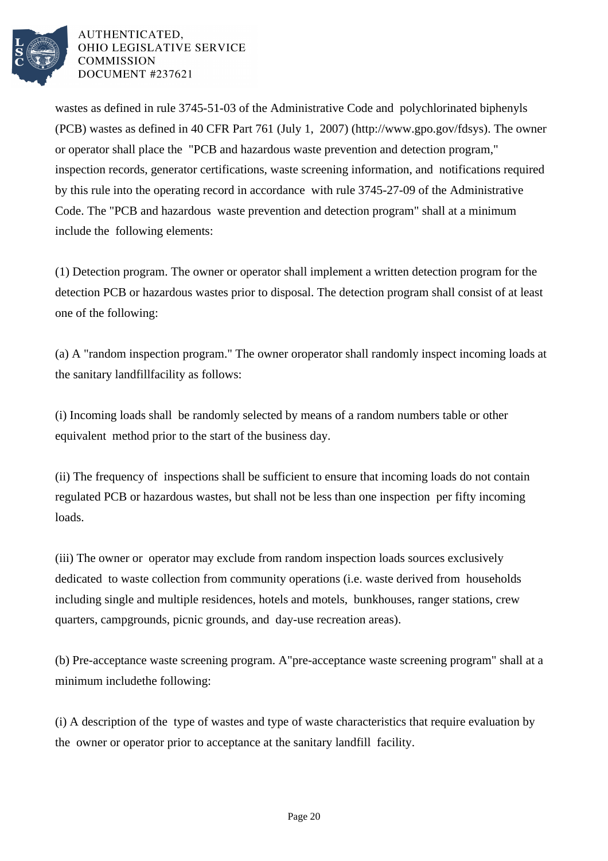

wastes as defined in rule 3745-51-03 of the Administrative Code and polychlorinated biphenyls (PCB) wastes as defined in 40 CFR Part 761 (July 1, 2007) (http://www.gpo.gov/fdsys). The owner or operator shall place the "PCB and hazardous waste prevention and detection program," inspection records, generator certifications, waste screening information, and notifications required by this rule into the operating record in accordance with rule 3745-27-09 of the Administrative Code. The "PCB and hazardous waste prevention and detection program" shall at a minimum include the following elements:

(1) Detection program. The owner or operator shall implement a written detection program for the detection PCB or hazardous wastes prior to disposal. The detection program shall consist of at least one of the following:

(a) A "random inspection program." The owner or operator shall randomly inspect incoming loads at the sanitary landfill facility as follows:

(i) Incoming loads shall be randomly selected by means of a random numbers table or other equivalent method prior to the start of the business day.

(ii) The frequency of inspections shall be sufficient to ensure that incoming loads do not contain regulated PCB or hazardous wastes, but shall not be less than one inspection per fifty incoming loads.

(iii) The owner or operator may exclude from random inspection loads sources exclusively dedicated to waste collection from community operations (i.e. waste derived from households including single and multiple residences, hotels and motels, bunkhouses, ranger stations, crew quarters, campgrounds, picnic grounds, and day-use recreation areas).

(b) Pre-acceptance waste screening program. A "pre-acceptance waste screening program" shall at a minimum include the following:

(i) A description of the type of wastes and type of waste characteristics that require evaluation by the owner or operator prior to acceptance at the sanitary landfill facility.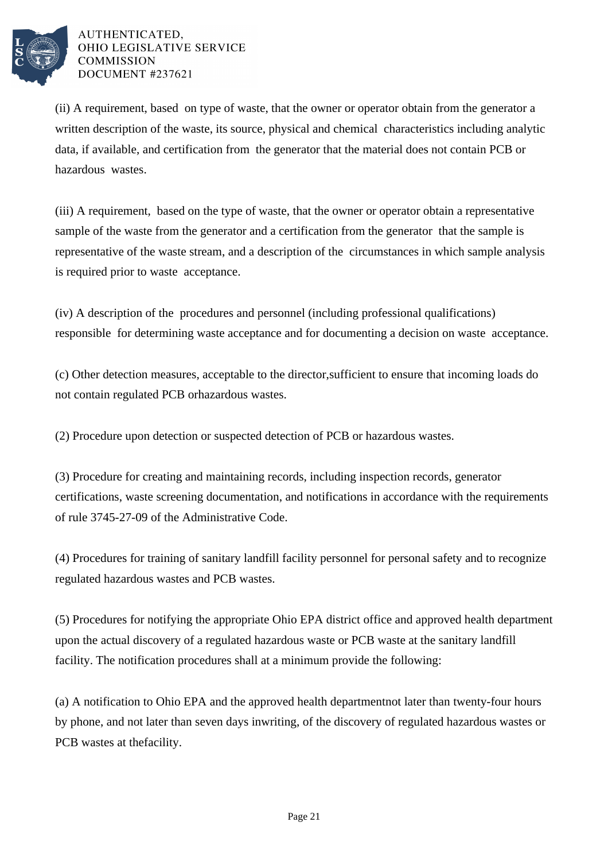

(ii) A requirement, based on type of waste, that the owner or operator obtain from the generator a written description of the waste, its source, physical and chemical characteristics including analytic data, if available, and certification from the generator that the material does not contain PCB or hazardous wastes.

(iii) A requirement, based on the type of waste, that the owner or operator obtain a representative sample of the waste from the generator and a certification from the generator that the sample is representative of the waste stream, and a description of the circumstances in which sample analysis is required prior to waste acceptance.

(iv) A description of the procedures and personnel (including professional qualifications) responsible for determining waste acceptance and for documenting a decision on waste acceptance.

(c) Other detection measures, acceptable to the director, sufficient to ensure that incoming loads do not contain regulated PCB or hazardous wastes.

(2) Procedure upon detection or suspected detection of PCB or hazardous wastes.

(3) Procedure for creating and maintaining records, including inspection records, generator certifications, waste screening documentation, and notifications in accordance with the requirements of rule 3745-27-09 of the Administrative Code.

(4) Procedures for training of sanitary landfill facility personnel for personal safety and to recognize regulated hazardous wastes and PCB wastes.

(5) Procedures for notifying the appropriate Ohio EPA district office and approved health department upon the actual discovery of a regulated hazardous waste or PCB waste at the sanitary landfill facility. The notification procedures shall at a minimum provide the following:

(a) A notification to Ohio EPA and the approved health department not later than twenty-four hours by phone, and not later than seven days in writing, of the discovery of regulated hazardous wastes or PCB wastes at the facility.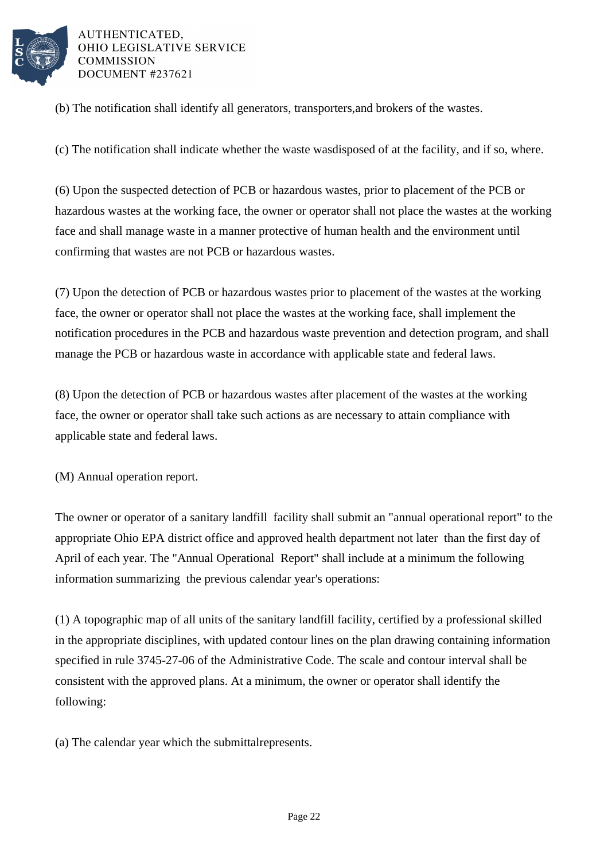

(b) The notification shall identify all generators, transporters, and brokers of the wastes.

(c) The notification shall indicate whether the waste was disposed of at the facility, and if so, where.

(6) Upon the suspected detection of PCB or hazardous wastes, prior to placement of the PCB or hazardous wastes at the working face, the owner or operator shall not place the wastes at the working face and shall manage waste in a manner protective of human health and the environment until confirming that wastes are not PCB or hazardous wastes.

(7) Upon the detection of PCB or hazardous wastes prior to placement of the wastes at the working face, the owner or operator shall not place the wastes at the working face, shall implement the notification procedures in the PCB and hazardous waste prevention and detection program, and shall manage the PCB or hazardous waste in accordance with applicable state and federal laws.

(8) Upon the detection of PCB or hazardous wastes after placement of the wastes at the working face, the owner or operator shall take such actions as are necessary to attain compliance with applicable state and federal laws.

(M) Annual operation report.

The owner or operator of a sanitary landfill facility shall submit an "annual operational report" to the appropriate Ohio EPA district office and approved health department not later than the first day of April of each year. The "Annual Operational Report" shall include at a minimum the following information summarizing the previous calendar year's operations:

(1) A topographic map of all units of the sanitary landfill facility, certified by a professional skilled in the appropriate disciplines, with updated contour lines on the plan drawing containing information specified in rule 3745-27-06 of the Administrative Code. The scale and contour interval shall be consistent with the approved plans. At a minimum, the owner or operator shall identify the following:

(a) The calendar year which the submittal represents.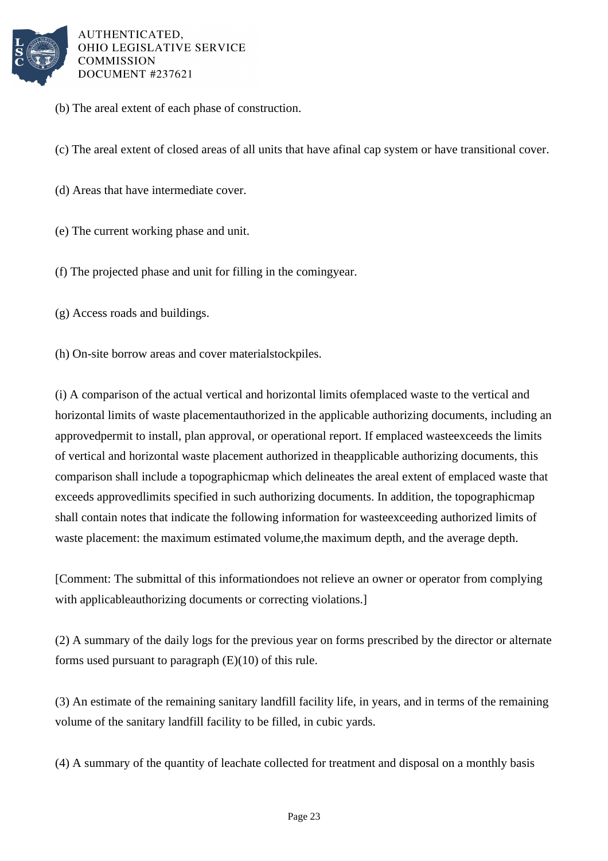

- (b) The areal extent of each phase of construction.
- (c) The areal extent of closed areas of all units that have a final cap system or have transitional cover.
- (d) Areas that have intermediate cover.
- (e) The current working phase and unit.
- (f) The projected phase and unit for filling in the coming year.
- (g) Access roads and buildings.
- (h) On-site borrow areas and cover material stockpiles.

(i) A comparison of the actual vertical and horizontal limits of emplaced waste to the vertical and horizontal limits of waste placement authorized in the applicable authorizing documents, including an approved permit to install, plan approval, or operational report. If emplaced waste exceeds the limits of vertical and horizontal waste placement authorized in the applicable authorizing documents, this comparison shall include a topographic map which delineates the areal extent of emplaced waste that exceeds approved limits specified in such authorizing documents. In addition, the topographic map shall contain notes that indicate the following information for waste exceeding authorized limits of waste placement: the maximum estimated volume, the maximum depth, and the average depth.

[Comment: The submittal of this information does not relieve an owner or operator from complying with applicable authorizing documents or correcting violations.

(2) A summary of the daily logs for the previous year on forms prescribed by the director or alternate forms used pursuant to paragraph  $(E)(10)$  of this rule.

(3) An estimate of the remaining sanitary landfill facility life, in years, and in terms of the remaining volume of the sanitary landfill facility to be filled, in cubic yards.

(4) A summary of the quantity of leachate collected for treatment and disposal on a monthly basis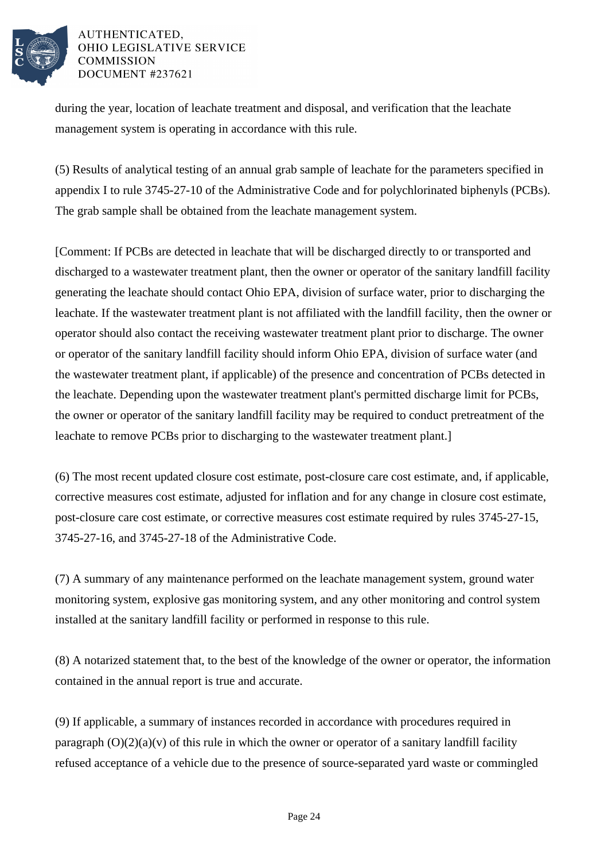

during the year, location of leachate treatment and disposal, and verification that the leachate management system is operating in accordance with this rule.

(5) Results of analytical testing of an annual grab sample of leachate for the parameters specified in appendix I to rule 3745-27-10 of the Administrative Code and for polychlorinated biphenyls (PCBs). The grab sample shall be obtained from the leachate management system.

[Comment: If PCBs are detected in leachate that will be discharged directly to or transported and discharged to a wastewater treatment plant, then the owner or operator of the sanitary landfill facility generating the leachate should contact Ohio EPA, division of surface water, prior to discharging the leachate. If the wastewater treatment plant is not affiliated with the landfill facility, then the owner or operator should also contact the receiving wastewater treatment plant prior to discharge. The owner or operator of the sanitary landfill facility should inform Ohio EPA, division of surface water (and the wastewater treatment plant, if applicable) of the presence and concentration of PCBs detected in the leachate. Depending upon the wastewater treatment plant's permitted discharge limit for PCBs, the owner or operator of the sanitary landfill facility may be required to conduct pretreatment of the leachate to remove PCBs prior to discharging to the wastewater treatment plant.

(6) The most recent updated closure cost estimate, post-closure care cost estimate, and, if applicable, corrective measures cost estimate, adjusted for inflation and for any change in closure cost estimate, post-closure care cost estimate, or corrective measures cost estimate required by rules  $3745-27-15$ , 3745-27-16, and 3745-27-18 of the Administrative Code.

(7) A summary of any maintenance performed on the leachate management system, ground water monitoring system, explosive gas monitoring system, and any other monitoring and control system installed at the sanitary landfill facility or performed in response to this rule.

(8) A notarized statement that, to the best of the knowledge of the owner or operator, the information contained in the annual report is true and accurate.

(9) If applicable, a summary of instances recorded in accordance with procedures required in paragraph  $(O)(2)(a)(v)$  of this rule in which the owner or operator of a sanitary landfill facility refused acceptance of a vehicle due to the presence of source-separated yard waste or commingled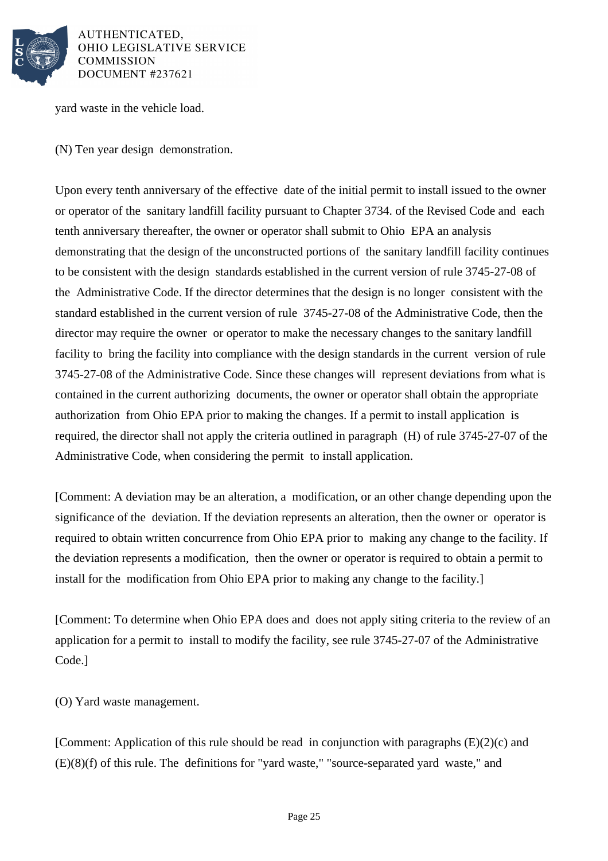

yard waste in the vehicle load.

(N) Ten year design demonstration.

Upon every tenth anniversary of the effective date of the initial permit to install issued to the owner or operator of the sanitary landfill facility pursuant to Chapter 3734. of the Revised Code and each tenth anniversary thereafter, the owner or operator shall submit to Ohio EPA an analysis demonstrating that the design of the unconstructed portions of the sanitary landfill facility continues to be consistent with the design standards established in the current version of rule 3745-27-08 of the Administrative Code. If the director determines that the design is no longer consistent with the standard established in the current version of rule 3745-27-08 of the Administrative Code, then the director may require the owner or operator to make the necessary changes to the sanitary landfill facility to bring the facility into compliance with the design standards in the current version of rule 3745-27-08 of the Administrative Code. Since these changes will represent deviations from what is contained in the current authorizing documents, the owner or operator shall obtain the appropriate authorization from Ohio EPA prior to making the changes. If a permit to install application is required, the director shall not apply the criteria outlined in paragraph (H) of rule 3745-27-07 of the Administrative Code, when considering the permit to install application.

[Comment: A deviation may be an alteration, a modification, or an other change depending upon the significance of the deviation. If the deviation represents an alteration, then the owner or operator is required to obtain written concurrence from Ohio EPA prior to making any change to the facility. If the deviation represents a modification, then the owner or operator is required to obtain a permit to install for the modification from Ohio EPA prior to making any change to the facility.]

[Comment: To determine when Ohio EPA does and does not apply siting criteria to the review of an application for a permit to install to modify the facility, see rule 3745-27-07 of the Administrative Code.]

(O) Yard waste management.

[Comment: Application of this rule should be read in conjunction with paragraphs (E)(2)(c) and (E)(8)(f) of this rule. The definitions for "yard waste," "source-separated yard waste," and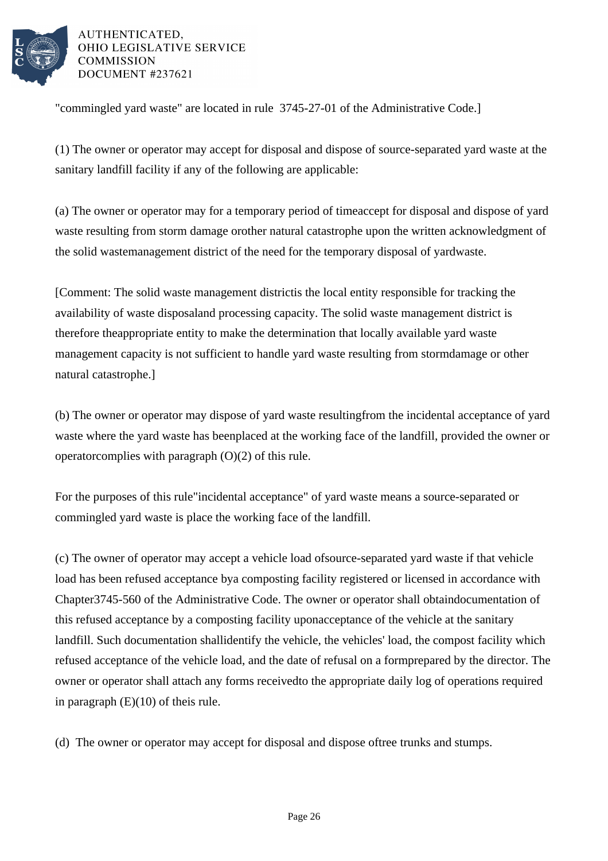

"commingled yard waste" are located in rule 3745-27-01 of the Administrative Code.]

(1) The owner or operator may accept for disposal and dispose of source-separated yard waste at the sanitary landfill facility if any of the following are applicable:

(a) The owner or operator may for a temporary period of time accept for disposal and dispose of yard waste resulting from storm damage or other natural catastrophe upon the written acknowledgment of the solid waste management district of the need for the temporary disposal of yard waste.

[Comment: The solid waste management district is the local entity responsible for tracking the availability of waste disposal and processing capacity. The solid waste management district is therefore the appropriate entity to make the determination that locally available yard waste management capacity is not sufficient to handle yard waste resulting from storm damage or other natural catastrophe.]

(b) The owner or operator may dispose of yard waste resulting from the incidental acceptance of yard waste where the yard waste has been placed at the working face of the landfill, provided the owner or operator complies with paragraph  $(O)(2)$  of this rule.

For the purposes of this rule "incidental acceptance" of yard waste means a source-separated or commingled yard waste is place the working face of the landfill.

(c) The owner of operator may accept a vehicle load of source-separated yard waste if that vehicle load has been refused acceptance by a composting facility registered or licensed in accordance with Chapter 3745-560 of the Administrative Code. The owner or operator shall obtain documentation of this refused acceptance by a composting facility upon acceptance of the vehicle at the sanitary landfill. Such documentation shall identify the vehicle, the vehicles' load, the compost facility which refused acceptance of the vehicle load, and the date of refusal on a form prepared by the director. The owner or operator shall attach any forms received to the appropriate daily log of operations required in paragraph  $(E)(10)$  of the is rule.

(d) The owner or operator may accept for disposal and dispose of tree trunks and stumps.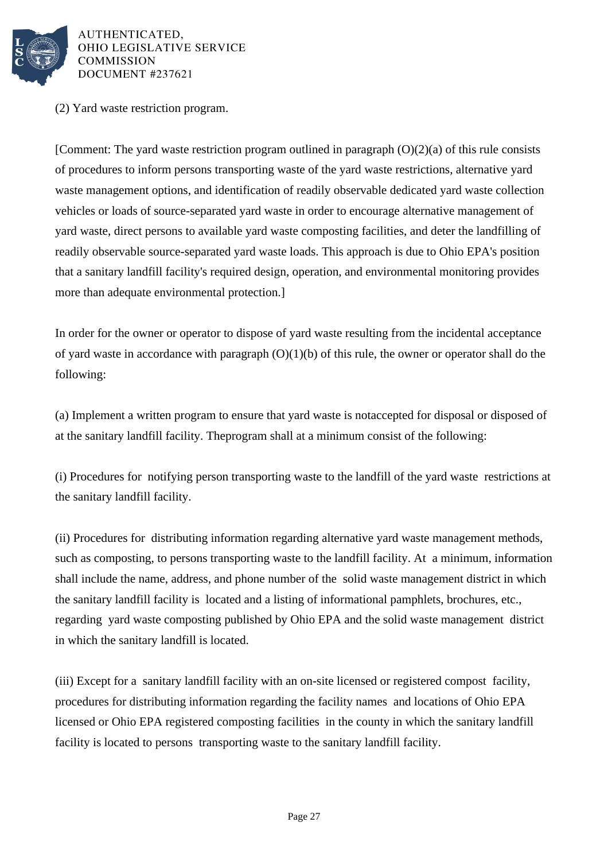

(2) Yard waste restriction program.

[Comment: The yard waste restriction program outlined in paragraph  $(O)(2)(a)$  of this rule consists of procedures to inform persons transporting waste of the yard waste restrictions, alternative yard waste management options, and identification of readily observable dedicated yard waste collection vehicles or loads of source-separated yard waste in order to encourage alternative management of yard waste, direct persons to available yard waste composting facilities, and deter the landfilling of readily observable source-separated yard waste loads. This approach is due to Ohio EPA's position that a sanitary landfill facility's required design, operation, and environmental monitoring provides more than adequate environmental protection.]

In order for the owner or operator to dispose of yard waste resulting from the incidental acceptance of yard waste in accordance with paragraph  $(O)(1)(b)$  of this rule, the owner or operator shall do the following:

(a) Implement a written program to ensure that yard waste is not accepted for disposal or disposed of at the sanitary landfill facility. The program shall at a minimum consist of the following:

(i) Procedures for notifying person transporting waste to the landfill of the yard waste restrictions at the sanitary landfill facility.

(ii) Procedures for distributing information regarding alternative yard waste management methods, such as composting, to persons transporting waste to the landfill facility. At a minimum, information shall include the name, address, and phone number of the solid waste management district in which the sanitary landfill facility is located and a listing of informational pamphlets, brochures, etc., regarding yard waste composting published by Ohio EPA and the solid waste management district in which the sanitary landfill is located.

(iii) Except for a sanitary landfill facility with an on-site licensed or registered compost facility, procedures for distributing information regarding the facility names and locations of Ohio EPA licensed or Ohio EPA registered composting facilities in the county in which the sanitary landfill facility is located to persons transporting waste to the sanitary landfill facility.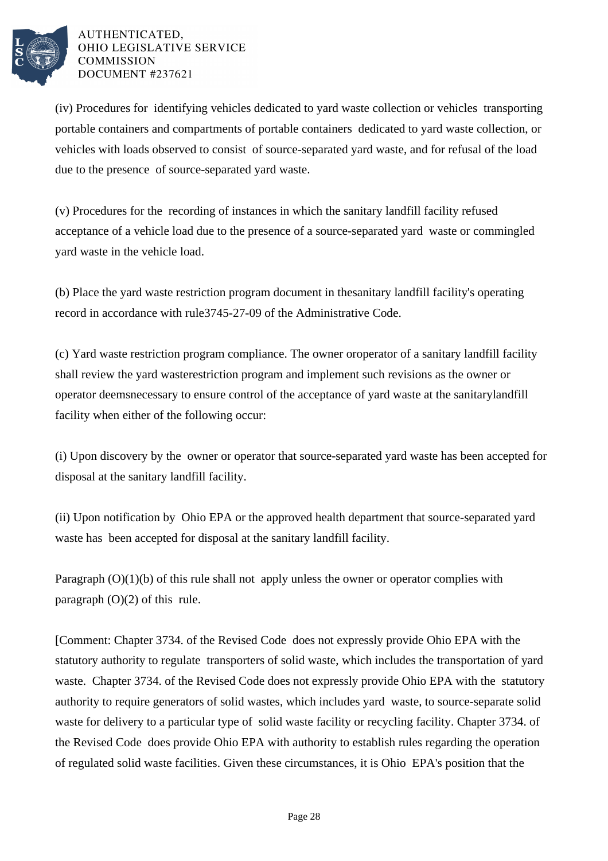

(iv) Procedures for identifying vehicles dedicated to yard waste collection or vehicles transporting portable containers and compartments of portable containers dedicated to yard waste collection, or vehicles with loads observed to consist of source-separated yard waste, and for refusal of the load due to the presence of source-separated yard waste.

(v) Procedures for the recording of instances in which the sanitary landfill facility refused acceptance of a vehicle load due to the presence of a source-separated yard waste or commingled yard waste in the vehicle load.

(b) Place the yard waste restriction program document in the sanitary landfill facility's operating record in accordance with rule 3745-27-09 of the Administrative Code.

(c) Yard waste restriction program compliance. The owner or operator of a sanitary landfill facility shall review the yard waste restriction program and implement such revisions as the owner or operator deems necessary to ensure control of the acceptance of yard waste at the sanitary landfill facility when either of the following occur:

(i) Upon discovery by the owner or operator that source-separated yard waste has been accepted for disposal at the sanitary landfill facility.

(ii) Upon notification by Ohio EPA or the approved health department that source-separated yard waste has been accepted for disposal at the sanitary landfill facility.

Paragraph  $(O)(1)(b)$  of this rule shall not apply unless the owner or operator complies with paragraph  $(O)(2)$  of this rule.

[Comment: Chapter 3734. of the Revised Code does not expressly provide Ohio EPA with the statutory authority to regulate transporters of solid waste, which includes the transportation of yard waste. Chapter 3734. of the Revised Code does not expressly provide Ohio EPA with the statutory authority to require generators of solid wastes, which includes yard waste, to source-separate solid waste for delivery to a particular type of solid waste facility or recycling facility. Chapter 3734. of the Revised Code does provide Ohio EPA with authority to establish rules regarding the operation of regulated solid waste facilities. Given these circumstances, it is Ohio EPA's position that the